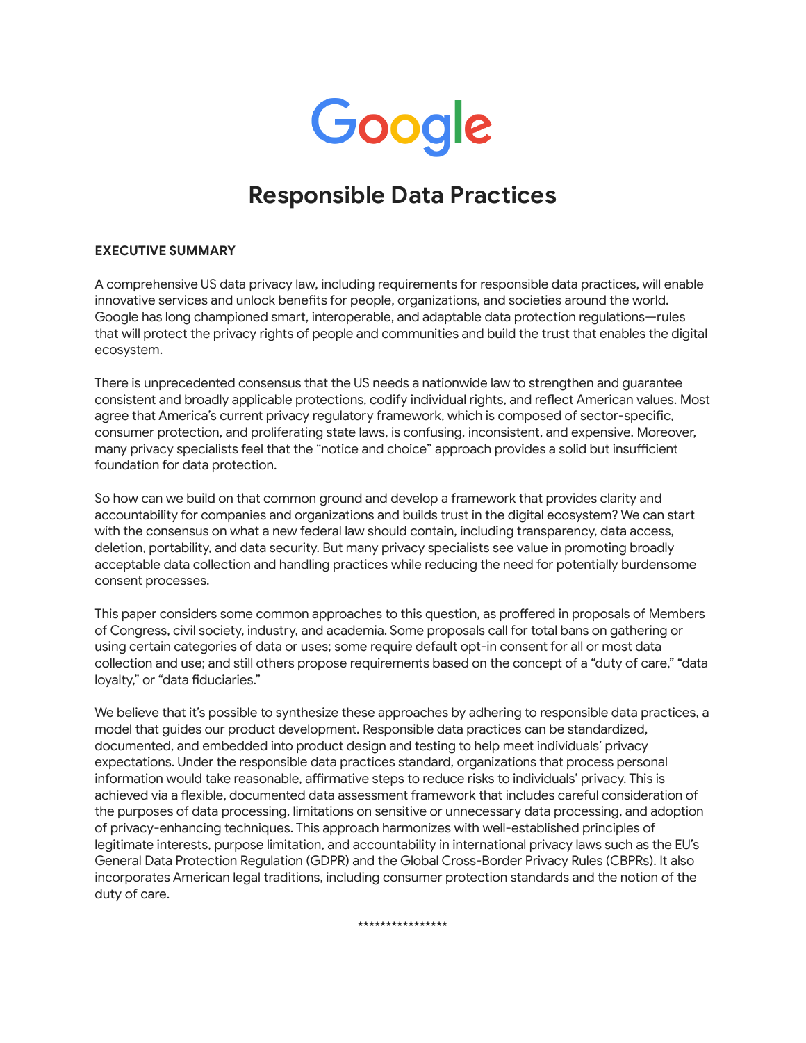

# **Responsible Data Practices**

#### **EXECUTIVE SUMMARY**

A comprehensive US data privacy law, including requirements for responsible data practices, will enable innovative services and unlock benefits for people, organizations, and societies around the world. Google has long championed smart, interoperable, and adaptable data protection regulations—rules that will protect the privacy rights of people and communities and build the trust that enables the digital ecosystem.

There is unprecedented consensus that the US needs a nationwide law to strengthen and guarantee consistent and broadly applicable protections, codify individual rights, and reflect American values. Most agree that America's current privacy regulatory framework, which is composed of sector-specific, consumer protection, and proliferating state laws, is confusing, inconsistent, and expensive. Moreover, many privacy specialists feel that the "notice and choice" approach provides a solid but insufficient foundation for data protection.

So how can we build on that common ground and develop a framework that provides clarity and accountability for companies and organizations and builds trust in the digital ecosystem? We can start with the consensus on what a new federal law should contain, including transparency, data access, deletion, portability, and data security. But many privacy specialists see value in promoting broadly acceptable data collection and handling practices while reducing the need for potentially burdensome consent processes.

This paper considers some common approaches to this question, as proffered in proposals of Members of Congress, civil society, industry, and academia. Some proposals call for total bans on gathering or using certain categories of data or uses; some require default opt-in consent for all or most data collection and use; and still others propose requirements based on the concept of a "duty of care," "data loyalty," or "data fiduciaries."

We believe that it's possible to synthesize these approaches by adhering to responsible data practices, a model that guides our product development. Responsible data practices can be standardized, documented, and embedded into product design and testing to help meet individuals' privacy expectations. Under the responsible data practices standard, organizations that process personal information would take reasonable, affirmative steps to reduce risks to individuals' privacy. This is achieved via a flexible, documented data assessment framework that includes careful consideration of the purposes of data processing, limitations on sensitive or unnecessary data processing, and adoption of privacy-enhancing techniques. This approach harmonizes with well-established principles of legitimate interests, purpose limitation, and accountability in international privacy laws such as the EU's General Data Protection Regulation (GDPR) and the Global Cross-Border Privacy Rules (CBPRs). It also incorporates American legal traditions, including consumer protection standards and the notion of the duty of care.

\*\*\*\*\*\*\*\*\*\*\*\*\*\*\*\*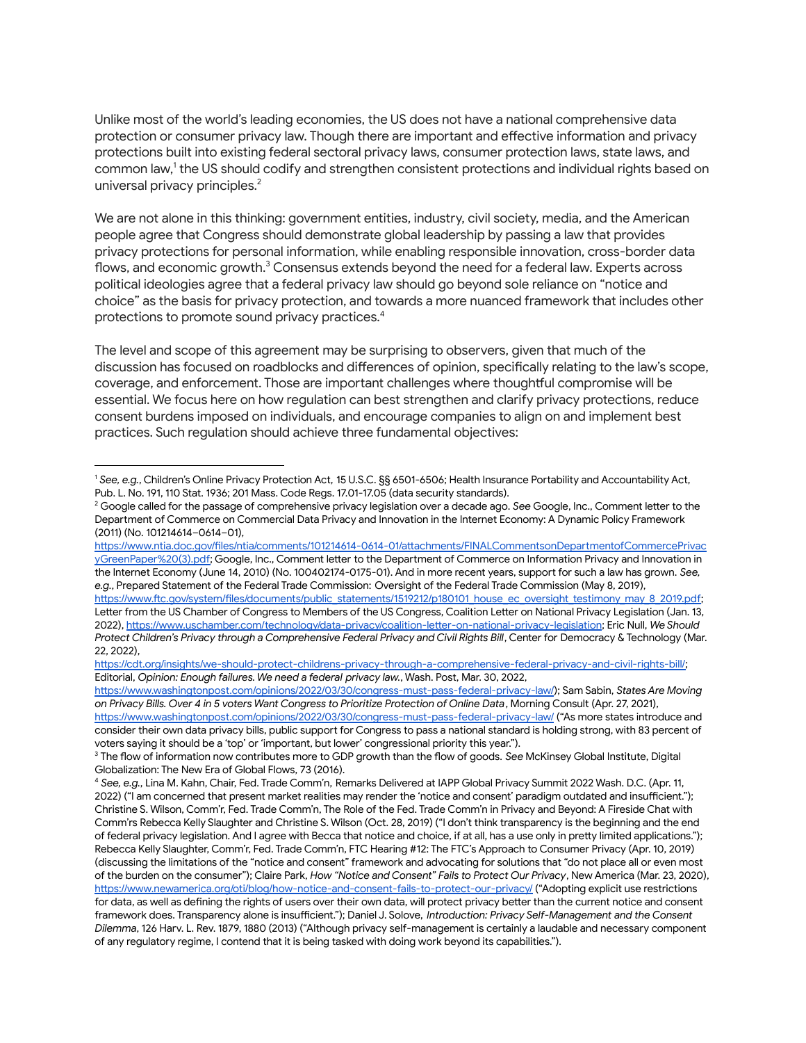Unlike most of the world's leading economies, the US does not have a national comprehensive data protection or consumer privacy law. Though there are important and effective information and privacy protections built into existing federal sectoral privacy laws, consumer protection laws, state laws, and common law, 1 the US should codify and strengthen consistent protections and individual rights based on universal privacy principles. 2

We are not alone in this thinking: government entities, industry, civil society, media, and the American people agree that Congress should demonstrate global leadership by passing a law that provides privacy protections for personal information, while enabling responsible innovation, cross-border data flows, and economic growth.<sup>3</sup> Consensus extends beyond the need for a federal law. Experts across political ideologies agree that a federal privacy law should go beyond sole reliance on "notice and choice" as the basis for privacy protection, and towards a more nuanced framework that includes other protections to promote sound privacy practices. 4

The level and scope of this agreement may be surprising to observers, given that much of the discussion has focused on roadblocks and differences of opinion, specifically relating to the law's scope, coverage, and enforcement. Those are important challenges where thoughtful compromise will be essential. We focus here on how regulation can best strengthen and clarify privacy protections, reduce consent burdens imposed on individuals, and encourage companies to align on and implement best practices. Such regulation should achieve three fundamental objectives:

<sup>1</sup> *See, e.g.*, Children's Online Privacy Protection Act, 15 U.S.C. §§ 6501-6506; Health Insurance Portability and Accountability Act, Pub. L. No. 191, 110 Stat. 1936; 201 Mass. Code Regs. 17.01-17.05 (data security standards).

<sup>2</sup> Google called for the passage of comprehensive privacy legislation over a decade ago. *See* Google, Inc., Comment letter to the Department of Commerce on Commercial Data Privacy and Innovation in the Internet Economy: A Dynamic Policy Framework (2011) (No. 101214614–0614–01),

[https://www.ntia.doc.gov/files/ntia/comments/101214614-0614-01/attachments/FINALCommentsonDepartmentofCommercePrivac](https://www.ntia.doc.gov/files/ntia/comments/101214614-0614-01/attachments/FINALCommentsonDepartmentofCommercePrivacyGreenPaper%20(3).pdf) [yGreenPaper%20\(3\).pdf;](https://www.ntia.doc.gov/files/ntia/comments/101214614-0614-01/attachments/FINALCommentsonDepartmentofCommercePrivacyGreenPaper%20(3).pdf) Google, Inc., Comment letter to the Department of Commerce on Information Privacy and Innovation in the Internet Economy (June 14, 2010) (No. 100402174-0175-01). And in more recent years, support for such a law has grown. *See, e.g.*, Prepared Statement of the Federal Trade Commission: Oversight of the Federal Trade Commission (May 8, 2019),

[https://www.ftc.gov/system/files/documents/public\\_statements/1519212/p180101\\_house\\_ec\\_oversight\\_testimony\\_may\\_8\\_2019.pdf;](https://www.ftc.gov/system/files/documents/public_statements/1519212/p180101_house_ec_oversight_testimony_may_8_2019.pdf) Letter from the US Chamber of Congress to Members of the US Congress, Coalition Letter on National Privacy Legislation (Jan. 13, 2022), <https://www.uschamber.com/technology/data-privacy/coalition-letter-on-national-privacy-legislation>; Eric Null, *We Should Protect Children's Privacy through a Comprehensive Federal Privacy and Civil Rights Bill*, Center for Democracy & Technology (Mar. 22, 2022),

[https://cdt.org/insights/we-should-protect-childrens-privacy-through-a-comprehensive-federal-privacy-and-civil-rights-bill/;](https://cdt.org/insights/we-should-protect-childrens-privacy-through-a-comprehensive-federal-privacy-and-civil-rights-bill/) Editorial, *Opinion: Enough failures. We need a federal privacy law.*, Wash. Post, Mar. 30, 2022,

<https://www.washingtonpost.com/opinions/2022/03/30/congress-must-pass-federal-privacy-law/>); Sam Sabin, *States Are Moving* on Privacy Bills. Over 4 in 5 voters Want Congress to Prioritize Protection of Online Data, Morning Consult (Apr. 27, 2021), <https://www.washingtonpost.com/opinions/2022/03/30/congress-must-pass-federal-privacy-law/> ("As more states introduce and consider their own data privacy bills, public support for Congress to pass a national standard is holding strong, with 83 percent of voters saying it should be a 'top' or 'important, but lower' congressional priority this year.").

<sup>3</sup> The flow of information now contributes more to GDP growth than the flow of goods. *See* McKinsey Global Institute, Digital Globalization: The New Era of Global Flows, 73 (2016).

<sup>4</sup> *See, e.g.*, Lina M. Kahn, Chair, Fed. Trade Comm'n, Remarks Delivered at IAPP Global Privacy Summit 2022 Wash. D.C. (Apr. 11, 2022) ("I am concerned that present market realities may render the 'notice and consent' paradigm outdated and insufficient."); Christine S. Wilson, Comm'r, Fed. Trade Comm'n, The Role of the Fed. Trade Comm'n in Privacy and Beyond: A Fireside Chat with Comm'rs Rebecca Kelly Slaughter and Christine S. Wilson (Oct. 28, 2019) ("I don't think transparency is the beginning and the end of federal privacy legislation. And I agree with Becca that notice and choice, if at all, has a use only in pretty limited applications."); Rebecca Kelly Slaughter, Comm'r, Fed. Trade Comm'n, FTC Hearing #12: The FTC's Approach to Consumer Privacy (Apr. 10, 2019) (discussing the limitations of the "notice and consent" framework and advocating for solutions that "do not place all or even most of the burden on the consumer"); Claire Park, *How "Notice and Consent" Fails to Protect Our Privacy*, New America (Mar. 23, 2020), <https://www.newamerica.org/oti/blog/how-notice-and-consent-fails-to-protect-our-privacy/> ("Adopting explicit use restrictions for data, as well as defining the rights of users over their own data, will protect privacy better than the current notice and consent framework does. Transparency alone is insufficient."); Daniel J. Solove, *Introduction: Privacy Self-Management and the Consent Dilemma*, 126 Harv. L. Rev. 1879, 1880 (2013) ("Although privacy self-management is certainly a laudable and necessary component of any regulatory regime, I contend that it is being tasked with doing work beyond its capabilities.").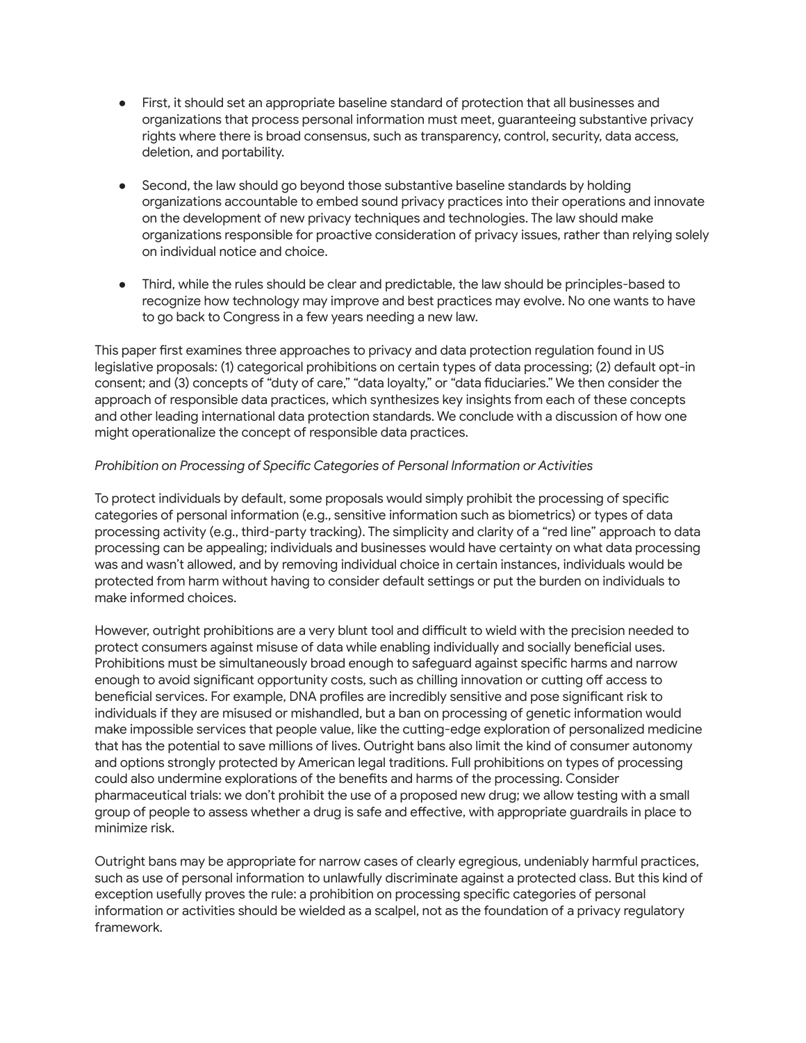- First, it should set an appropriate baseline standard of protection that all businesses and organizations that process personal information must meet, guaranteeing substantive privacy rights where there is broad consensus, such as transparency, control, security, data access, deletion, and portability.
- Second, the law should go beyond those substantive baseline standards by holding organizations accountable to embed sound privacy practices into their operations and innovate on the development of new privacy techniques and technologies. The law should make organizations responsible for proactive consideration of privacy issues, rather than relying solely on individual notice and choice.
- Third, while the rules should be clear and predictable, the law should be principles-based to recognize how technology may improve and best practices may evolve. No one wants to have to go back to Congress in a few years needing a new law.

This paper first examines three approaches to privacy and data protection regulation found in US legislative proposals: (1) categorical prohibitions on certain types of data processing; (2) default opt-in consent; and (3) concepts of "duty of care," "data loyalty," or "data fiduciaries." We then consider the approach of responsible data practices, which synthesizes key insights from each of these concepts and other leading international data protection standards. We conclude with a discussion of how one might operationalize the concept of responsible data practices.

### *Prohibition on Processing of Specific Categories of Personal Information or Activities*

To protect individuals by default, some proposals would simply prohibit the processing of specific categories of personal information (e.g., sensitive information such as biometrics) or types of data processing activity (e.g., third-party tracking). The simplicity and clarity of a "red line" approach to data processing can be appealing; individuals and businesses would have certainty on what data processing was and wasn't allowed, and by removing individual choice in certain instances, individuals would be protected from harm without having to consider default settings or put the burden on individuals to make informed choices.

However, outright prohibitions are a very blunt tool and difficult to wield with the precision needed to protect consumers against misuse of data while enabling individually and socially beneficial uses. Prohibitions must be simultaneously broad enough to safeguard against specific harms and narrow enough to avoid significant opportunity costs, such as chilling innovation or cutting off access to beneficial services. For example, DNA profiles are incredibly sensitive and pose significant risk to individuals if they are misused or mishandled, but a ban on processing of genetic information would make impossible services that people value, like the cutting-edge exploration of personalized medicine that has the potential to save millions of lives. Outright bans also limit the kind of consumer autonomy and options strongly protected by American legal traditions. Full prohibitions on types of processing could also undermine explorations of the benefits and harms of the processing. Consider pharmaceutical trials: we don't prohibit the use of a proposed new drug; we allow testing with a small group of people to assess whether a drug is safe and effective, with appropriate guardrails in place to minimize risk.

Outright bans may be appropriate for narrow cases of clearly egregious, undeniably harmful practices, such as use of personal information to unlawfully discriminate against a protected class. But this kind of exception usefully proves the rule: a prohibition on processing specific categories of personal information or activities should be wielded as a scalpel, not as the foundation of a privacy regulatory framework.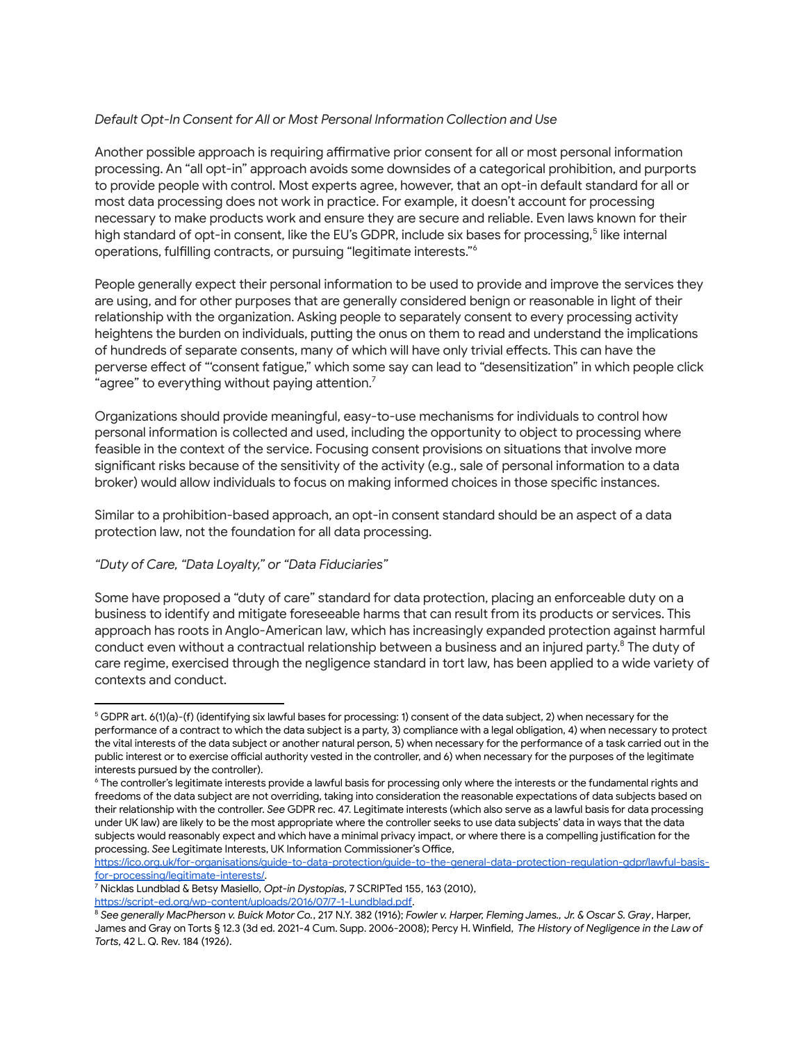## *Default Opt-In Consent for All or Most Personal Information Collection and Use*

Another possible approach is requiring affirmative prior consent for all or most personal information processing. An "all opt-in" approach avoids some downsides of a categorical prohibition, and purports to provide people with control. Most experts agree, however, that an opt-in default standard for all or most data processing does not work in practice. For example, it doesn't account for processing necessary to make products work and ensure they are secure and reliable. Even laws known for their high standard of opt-in consent, like the EU's GDPR, include six bases for processing,<sup>5</sup> like internal operations, fulfilling contracts, or pursuing "legitimate interests." 6

People generally expect their personal information to be used to provide and improve the services they are using, and for other purposes that are generally considered benign or reasonable in light of their relationship with the organization. Asking people to separately consent to every processing activity heightens the burden on individuals, putting the onus on them to read and understand the implications of hundreds of separate consents, many of which will have only trivial effects. This can have the perverse effect of "'consent fatigue," which some say can lead to "desensitization" in which people click "agree" to everything without paying attention. $^7$ 

Organizations should provide meaningful, easy-to-use mechanisms for individuals to control how personal information is collected and used, including the opportunity to object to processing where feasible in the context of the service. Focusing consent provisions on situations that involve more significant risks because of the sensitivity of the activity (e.g., sale of personal information to a data broker) would allow individuals to focus on making informed choices in those specific instances.

Similar to a prohibition-based approach, an opt-in consent standard should be an aspect of a data protection law, not the foundation for all data processing.

### *"Duty of Care, "Data Loyalty," or "Data Fiduciaries"*

Some have proposed a "duty of care" standard for data protection, placing an enforceable duty on a business to identify and mitigate foreseeable harms that can result from its products or services. This approach has roots in Anglo-American law, which has increasingly expanded protection against harmful conduct even without a contractual relationship between a business and an injured party. $^8$  The duty of care regime, exercised through the negligence standard in tort law, has been applied to a wide variety of contexts and conduct.

[https://ico.org.uk/for-organisations/guide-to-data-protection/guide-to-the-general-data-protection-regulation-gdpr/lawful-basis](https://ico.org.uk/for-organisations/guide-to-data-protection/guide-to-the-general-data-protection-regulation-gdpr/lawful-basis-for-processing/legitimate-interests/)[for-processing/legitimate-interests/.](https://ico.org.uk/for-organisations/guide-to-data-protection/guide-to-the-general-data-protection-regulation-gdpr/lawful-basis-for-processing/legitimate-interests/)

<https://script-ed.org/wp-content/uploads/2016/07/7-1-Lundblad.pdf>.

<sup>5</sup> GDPR art. 6(1)(a)-(f) (identifying six lawful bases for processing: 1) consent of the data subject, 2) when necessary for the performance of a contract to which the data subject is a party, 3) compliance with a legal obligation, 4) when necessary to protect the vital interests of the data subject or another natural person, 5) when necessary for the performance of a task carried out in the public interest or to exercise official authority vested in the controller, and 6) when necessary for the purposes of the legitimate interests pursued by the controller).

<sup>6</sup> The controller's legitimate interests provide a lawful basis for processing only where the interests or the fundamental rights and freedoms of the data subject are not overriding, taking into consideration the reasonable expectations of data subjects based on their relationship with the controller. *See* GDPR rec. 47. Legitimate interests (which also serve as a lawful basis for data processing under UK law) are likely to be the most appropriate where the controller seeks to use data subjects' data in ways that the data subjects would reasonably expect and which have a minimal privacy impact, or where there is a compelling justification for the processing. *See* Legitimate Interests, UK Information Commissioner's Office,

<sup>7</sup> Nicklas Lundblad & Betsy Masiello, *Opt-in Dystopias*, 7 SCRIPTed 155, 163 (2010),

<sup>&</sup>lt;sup>8</sup> See generally MacPherson v. Buick Motor Co., 217 N.Y. 382 (1916); Fowler v. Harper, Fleming James., Jr. & Oscar S. Gray, Harper, James and Gray on Torts § 12.3 (3d ed. 2021-4 Cum. Supp. 2006-2008); Percy H. Winfield, *The History of Negligence in the Law of Torts*, 42 L. Q. Rev. 184 (1926).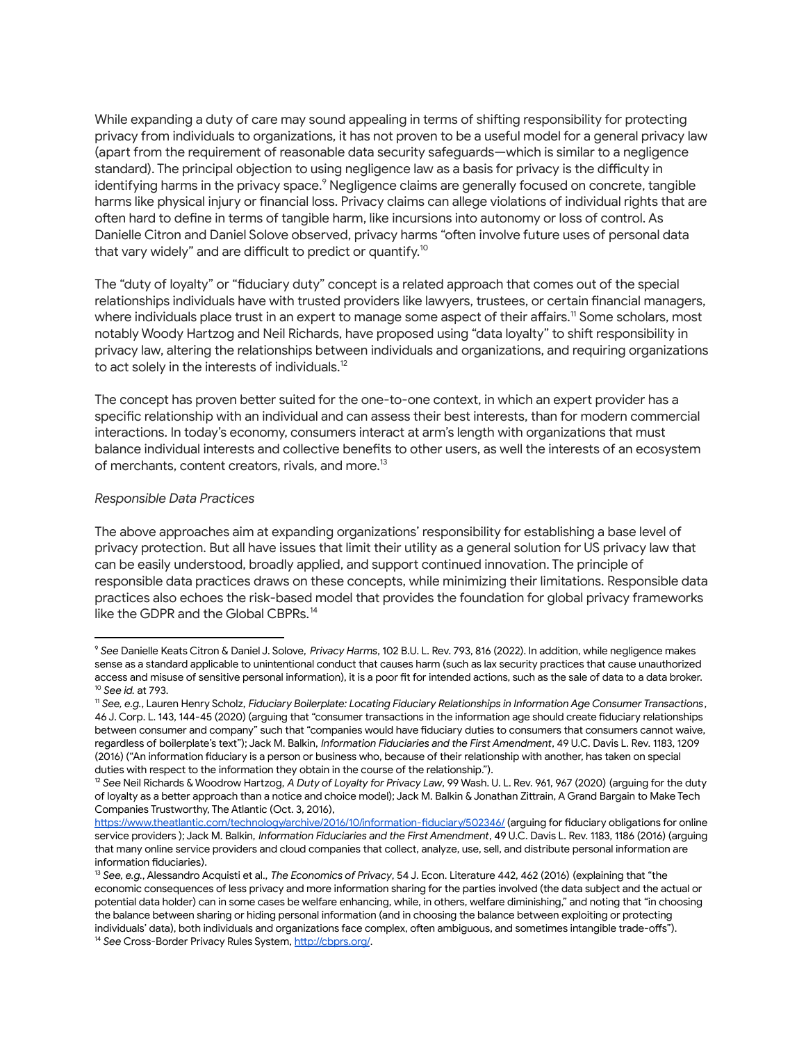While expanding a duty of care may sound appealing in terms of shifting responsibility for protecting privacy from individuals to organizations, it has not proven to be a useful model for a general privacy law (apart from the requirement of reasonable data security safeguards—which is similar to a negligence standard). The principal objection to using negligence law as a basis for privacy is the difficulty in identifying harms in the privacy space. $^{\circ}$  Negligence claims are generally focused on concrete, tangible harms like physical injury or financial loss. Privacy claims can allege violations of individual rights that are often hard to define in terms of tangible harm, like incursions into autonomy or loss of control. As Danielle Citron and Daniel Solove observed, privacy harms "often involve future uses of personal data that vary widely" and are difficult to predict or quantify. $^{10}$ 

The "duty of loyalty" or "fiduciary duty" concept is a related approach that comes out of the special relationships individuals have with trusted providers like lawyers, trustees, or certain financial managers, where individuals place trust in an expert to manage some aspect of their affairs. <sup>11</sup> Some scholars, most notably Woody Hartzog and Neil Richards, have proposed using "data loyalty" to shift responsibility in privacy law, altering the relationships between individuals and organizations, and requiring organizations to act solely in the interests of individuals.<sup>12</sup>

The concept has proven better suited for the one-to-one context, in which an expert provider has a specific relationship with an individual and can assess their best interests, than for modern commercial interactions. In today's economy, consumers interact at arm's length with organizations that must balance individual interests and collective benefits to other users, as well the interests of an ecosystem of merchants, content creators, rivals, and more.<sup>13</sup>

#### *Responsible Data Practices*

The above approaches aim at expanding organizations' responsibility for establishing a base level of privacy protection. But all have issues that limit their utility as a general solution for US privacy law that can be easily understood, broadly applied, and support continued innovation. The principle of responsible data practices draws on these concepts, while minimizing their limitations. Responsible data practices also echoes the risk-based model that provides the foundation for global privacy frameworks like the GDPR and the Global CBPRs. 14

<sup>10</sup> *See id.* at 793. <sup>9</sup> *See* Danielle Keats Citron & Daniel J. Solove, *Privacy Harms*, 102 B.U. L. Rev. 793, 816 (2022). In addition, while negligence makes sense as a standard applicable to unintentional conduct that causes harm (such as lax security practices that cause unauthorized access and misuse of sensitive personal information), it is a poor fit for intended actions, such as the sale of data to a data broker.

<sup>11</sup> *See, e.g.*, Lauren Henry Scholz, *Fiduciary Boilerplate: Locating Fiduciary Relationships in Information Age Consumer Transactions*, 46 J. Corp. L. 143, 144-45 (2020) (arguing that "consumer transactions in the information age should create fiduciary relationships between consumer and company" such that "companies would have fiduciary duties to consumers that consumers cannot waive, regardless of boilerplate's text"); Jack M. Balkin, *Information Fiduciaries and the First Amendment*, 49 U.C. Davis L. Rev. 1183, 1209 (2016) ("An information fiduciary is a person or business who, because of their relationship with another, has taken on special duties with respect to the information they obtain in the course of the relationship.").

<sup>12</sup> *See* Neil Richards & Woodrow Hartzog, *A Duty of Loyalty for Privacy Law*, 99 Wash. U. L. Rev. 961, 967 (2020) (arguing for the duty of loyalty as a better approach than a notice and choice model); Jack M. Balkin & Jonathan Zittrain, A Grand Bargain to Make Tech Companies Trustworthy, The Atlantic (Oct. 3, 2016),

<https://www.theatlantic.com/technology/archive/2016/10/information-fiduciary/502346/> (arguing for fiduciary obligations for online service providers ); Jack M. Balkin, *Information Fiduciaries and the First Amendment*, 49 U.C. Davis L. Rev. 1183, 1186 (2016) (arguing that many online service providers and cloud companies that collect, analyze, use, sell, and distribute personal information are information fiduciaries).

<sup>&</sup>lt;sup>14</sup> See Cross-Border Privacy Rules System, <http://cbprs.org/>. <sup>13</sup> *See, e.g.*, Alessandro Acquisti et al., *The Economics of Privacy*, 54 J. Econ. Literature 442, 462 (2016) (explaining that "the economic consequences of less privacy and more information sharing for the parties involved (the data subject and the actual or potential data holder) can in some cases be welfare enhancing, while, in others, welfare diminishing," and noting that "in choosing the balance between sharing or hiding personal information (and in choosing the balance between exploiting or protecting individuals' data), both individuals and organizations face complex, often ambiguous, and sometimes intangible trade-offs").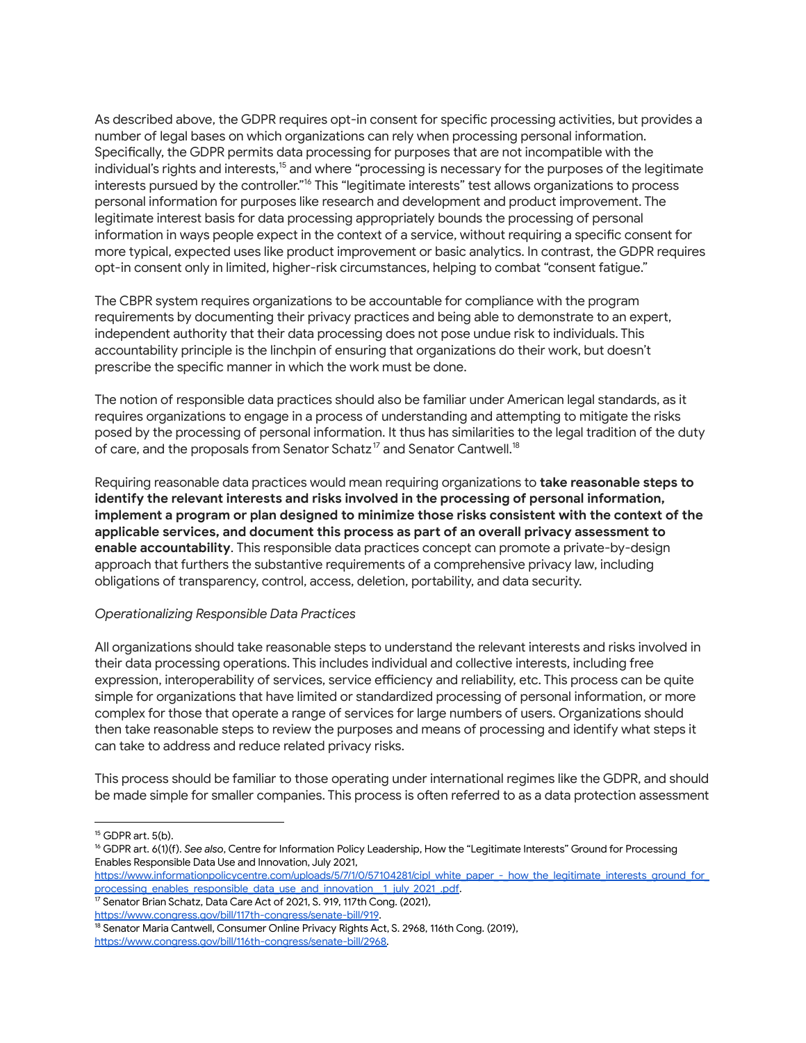As described above, the GDPR requires opt-in consent for specific processing activities, but provides a number of legal bases on which organizations can rely when processing personal information. Specifically, the GDPR permits data processing for purposes that are not incompatible with the individual's rights and interests, <sup>15</sup> and where "processing is necessary for the purposes of the legitimate interests pursued by the controller."<sup>16</sup> This "legitimate interests" test allows organizations to process personal information for purposes like research and development and product improvement. The legitimate interest basis for data processing appropriately bounds the processing of personal information in ways people expect in the context of a service, without requiring a specific consent for more typical, expected uses like product improvement or basic analytics. In contrast, the GDPR requires opt-in consent only in limited, higher-risk circumstances, helping to combat "consent fatigue."

The CBPR system requires organizations to be accountable for compliance with the program requirements by documenting their privacy practices and being able to demonstrate to an expert, independent authority that their data processing does not pose undue risk to individuals. This accountability principle is the linchpin of ensuring that organizations do their work, but doesn't prescribe the specific manner in which the work must be done.

The notion of responsible data practices should also be familiar under American legal standards, as it requires organizations to engage in a process of understanding and attempting to mitigate the risks posed by the processing of personal information. It thus has similarities to the legal tradition of the duty of care, and the proposals from Senator Schatz $^{\textrm{\text{17}}}$  and Senator Cantwell. $^{\textrm{\text{18}}}$ 

Requiring reasonable data practices would mean requiring organizations to **take reasonable steps to identify the relevant interests and risks involved in the processing of personal information, implement a program or plan designed to minimize those risks consistent with the context of the applicable services, and document this process as part of an overall privacy assessment to enable accountability**. This responsible data practices concept can promote a private-by-design approach that furthers the substantive requirements of a comprehensive privacy law, including obligations of transparency, control, access, deletion, portability, and data security.

### *Operationalizing Responsible Data Practices*

All organizations should take reasonable steps to understand the relevant interests and risks involved in their data processing operations. This includes individual and collective interests, including free expression, interoperability of services, service efficiency and reliability, etc. This process can be quite simple for organizations that have limited or standardized processing of personal information, or more complex for those that operate a range of services for large numbers of users. Organizations should then take reasonable steps to review the purposes and means of processing and identify what steps it can take to address and reduce related privacy risks.

This process should be familiar to those operating under international regimes like the GDPR, and should be made simple for smaller companies. This process is often referred to as a data protection assessment

<sup>17</sup> Senator Brian Schatz, Data Care Act of 2021, S. 919, 117th Cong. (2021), <https://www.congress.gov/bill/117th-congress/senate-bill/919>.

 $15$  GDPR art.  $5(h)$ .

<sup>&</sup>lt;sup>16</sup> GDPR art. 6(1)(f). See also, Centre for Information Policy Leadership, How the "Legitimate Interests" Ground for Processing Enables Responsible Data Use and Innovation, July 2021,

[https://www.informationpolicycentre.com/uploads/5/7/1/0/57104281/cipl\\_white\\_paper\\_-\\_how\\_the\\_legitimate\\_interests\\_ground\\_for\\_](https://www.informationpolicycentre.com/uploads/5/7/1/0/57104281/cipl_white_paper_-_how_the_legitimate_interests_ground_for_processing_enables_responsible_data_use_and_innovation__1_july_2021_.pdf) processing\_enables\_responsible\_data\_use\_and\_innovation\_1\_july\_2021\_.pdf.

<sup>&</sup>lt;sup>18</sup> Senator Maria Cantwell, Consumer Online Privacy Rights Act, S. 2968, 116th Cong. (2019), [https://www.congress.gov/bill/116th-congress/senate-bill/2968.](https://www.congress.gov/bill/116th-congress/senate-bill/2968)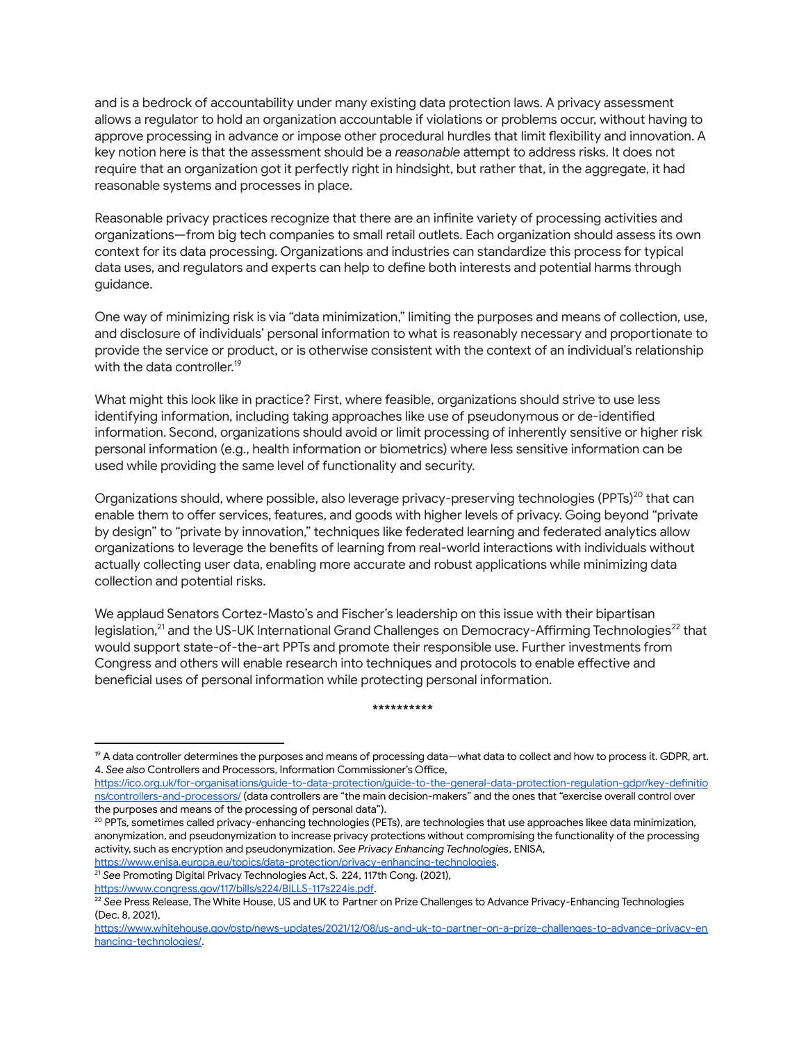and is a bedrock of accountability under many existing data protection laws. A privacy assessment allows a regulator to hold an organization accountable if violations or problems occur, without having to approve processing in advance or impose other procedural hurdles that limit flexibility and innovation. A key notion here is that the assessment should be a *reasonable* attempt to address risks. It does not require that an organization got it perfectly right in hindsight, but rather that, in the aggregate, it had reasonable systems and processes in place.

Reasonable privacy practices recognize that there are an infinite variety of processing activities and organizations—from big tech companies to small retail outlets. Each organization should assess its own context for its data processing. Organizations and industries can standardize this process for typical data uses, and regulators and experts can help to define both interests and potential harms through guidance.

One way of minimizing risk is via "data minimization," limiting the purposes and means of collection, use, and disclosure of individuals' personal information to what is reasonably necessary and proportionate to provide the service or product, or is otherwise consistent with the context of an individual's relationship with the data controller. 19

What might this look like in practice? First, where feasible, organizations should strive to use less identifying information, including taking approaches like use of pseudonymous or de-identified information. Second, organizations should avoid or limit processing of inherently sensitive or higher risk personal information (e.g., health information or biometrics) where less sensitive information can be used while providing the same level of functionality and security.

Organizations should, where possible, also leverage privacy-preserving technologies (PPTs)<sup>20</sup> that can enable them to offer services, features, and goods with higher levels of privacy. Going beyond "private by design" to "private by innovation," techniques like federated learning and federated analytics allow organizations to leverage the benefits of learning from real-world interactions with individuals without actually collecting user data, enabling more accurate and robust applications while minimizing data collection and potential risks.

We applaud Senators Cortez-Masto's and Fischer's leadership on this issue with their bipartisan legislation,<sup>21</sup> and the US-UK International Grand Challenges on Democracy-Affirming Technologies<sup>22</sup> that would support state-of-the-art PPTs and promote their responsible use. Further investments from Congress and others will enable research into techniques and protocols to enable effective and beneficial uses of personal information while protecting personal information.

#### **\*\*\*\*\*\*\*\*\*\***

[https://www.congress.gov/117/bills/s224/BILLS-117s224is.pd](https://www.congress.gov/117/bills/s224/BILLS-117s224is.pdf)f.

<sup>&</sup>lt;sup>19</sup> A data controller determines the purposes and means of processing data—what data to collect and how to process it. GDPR, art. 4. *See also* Controllers and Processors, Information Commissioner's Office,

[https://ico.org.uk/for-organisations/guide-to-data-protection/guide-to-the-general-data-protection-regulation-gdpr/key-definitio](https://ico.org.uk/for-organisations/guide-to-data-protection/guide-to-the-general-data-protection-regulation-gdpr/key-definitions/controllers-and-processors/) [ns/controllers-and-processors/](https://ico.org.uk/for-organisations/guide-to-data-protection/guide-to-the-general-data-protection-regulation-gdpr/key-definitions/controllers-and-processors/) (data controllers are "the main decision-makers" and the ones that "exercise overall control over the purposes and means of the processing of personal data").

<sup>&</sup>lt;sup>20</sup> PPTs, sometimes called privacy-enhancing technologies (PETs), are technologies that use approaches likee data minimization, anonymization, and pseudonymization to increase privacy protections without compromising the functionality of the processing activity, such as encryption and pseudonymization. *See Privacy Enhancing Technologies*, ENISA, <https://www.enisa.europa.eu/topics/data-protection/privacy-enhancing-technologies>.

<sup>21</sup> *See* Promoting Digital Privacy Technologies Act, S. 224, 117th Cong. (2021),

<sup>22</sup> *See* Press Release, The White House, US and UK to Partner on Prize Challenges to Advance Privacy-Enhancing Technologies (Dec. 8, 2021),

[https://www.whitehouse.gov/ostp/news-updates/2021/12/08/us-and-uk-to-partner-on-a-prize-challenges-to-advance-privacy-en](https://www.whitehouse.gov/ostp/news-updates/2021/12/08/us-and-uk-to-partner-on-a-prize-challenges-to-advance-privacy-enhancing-technologies/) [hancing-technologies/](https://www.whitehouse.gov/ostp/news-updates/2021/12/08/us-and-uk-to-partner-on-a-prize-challenges-to-advance-privacy-enhancing-technologies/).